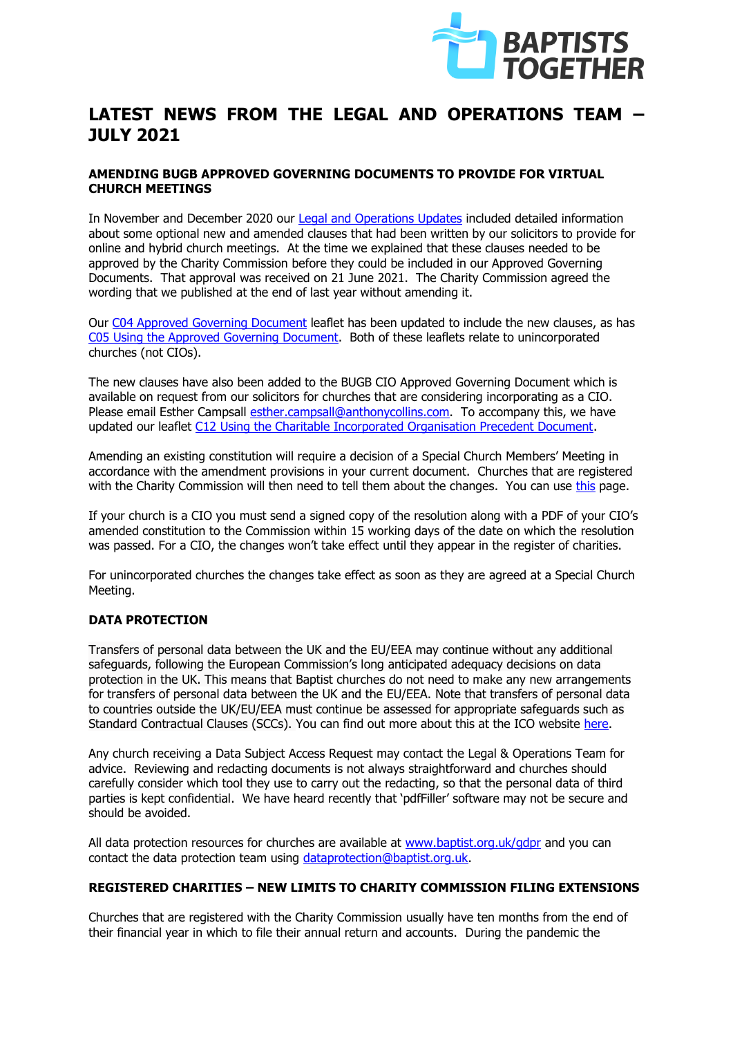

# **LATEST NEWS FROM THE LEGAL AND OPERATIONS TEAM – JULY 2021**

## **AMENDING BUGB APPROVED GOVERNING DOCUMENTS TO PROVIDE FOR VIRTUAL CHURCH MEETINGS**

In November and December 2020 our [Legal and Operations Updates](https://www.baptist.org.uk/Groups/220716/Legal_and_Operations.aspx) included detailed information about some optional new and amended clauses that had been written by our solicitors to provide for online and hybrid church meetings. At the time we explained that these clauses needed to be approved by the Charity Commission before they could be included in our Approved Governing Documents. That approval was received on 21 June 2021. The Charity Commission agreed the wording that we published at the end of last year without amending it.

Our [C04 Approved Governing Document](https://www.baptist.org.uk/Articles/368656/Guideline_Leaflet_C04.aspx) leaflet has been updated to include the new clauses, as has [C05 Using the Approved Governing Document.](https://www.baptist.org.uk/Articles/368658/Guideline_Leaflet_C05.aspx) Both of these leaflets relate to unincorporated churches (not CIOs).

The new clauses have also been added to the BUGB CIO Approved Governing Document which is available on request from our solicitors for churches that are considering incorporating as a CIO. Please email Esther Campsall [esther.campsall@anthonycollins.com.](mailto:esther.campsall@anthonycollins.com) To accompany this, we have updated our leaflet [C12 Using the Charitable Incorporated Organisation Precedent Document.](https://www.baptist.org.uk/Articles/368665/Guideline_Leaflet_C12.aspx)

Amending an existing constitution will require a decision of a Special Church Members' Meeting in accordance with the amendment provisions in your current document. Churches that are registered with the Charity Commission will then need to tell them about the changes. You can use [this](https://www.gov.uk/change-your-charitys-details) page.

If your church is a CIO you must send a signed copy of the resolution along with a PDF of your CIO's amended constitution to the Commission within 15 working days of the date on which the resolution was passed. For a CIO, the changes won't take effect until they appear in the register of charities.

For unincorporated churches the changes take effect as soon as they are agreed at a Special Church Meeting.

# **DATA PROTECTION**

Transfers of personal data between the UK and the EU/EEA may continue without any additional safeguards, following the European Commission's long anticipated adequacy decisions on data protection in the UK. This means that Baptist churches do not need to make any new arrangements for transfers of personal data between the UK and the EU/EEA. Note that transfers of personal data to countries outside the UK/EU/EEA must continue be assessed for appropriate safeguards such as Standard Contractual Clauses (SCCs). You can find out more about this at the ICO website [here.](https://ico.org.uk/for-organisations/data-protection-at-the-end-of-the-transition-period/data-protection-at-the-end-of-the-transition-period/the-gdpr/international-data-transfers/)

Any church receiving a Data Subject Access Request may contact the Legal & Operations Team for advice. Reviewing and redacting documents is not always straightforward and churches should carefully consider which tool they use to carry out the redacting, so that the personal data of third parties is kept confidential. We have heard recently that 'pdfFiller' software may not be secure and should be avoided.

All data protection resources for churches are available at [www.baptist.org.uk/gdpr](http://www.baptist.org.uk/gdpr) and you can contact the data protection team using [dataprotection@baptist.org.uk.](mailto:dataprotection@baptist.org.uk)

# **REGISTERED CHARITIES – NEW LIMITS TO CHARITY COMMISSION FILING EXTENSIONS**

Churches that are registered with the Charity Commission usually have ten months from the end of their financial year in which to file their annual return and accounts. During the pandemic the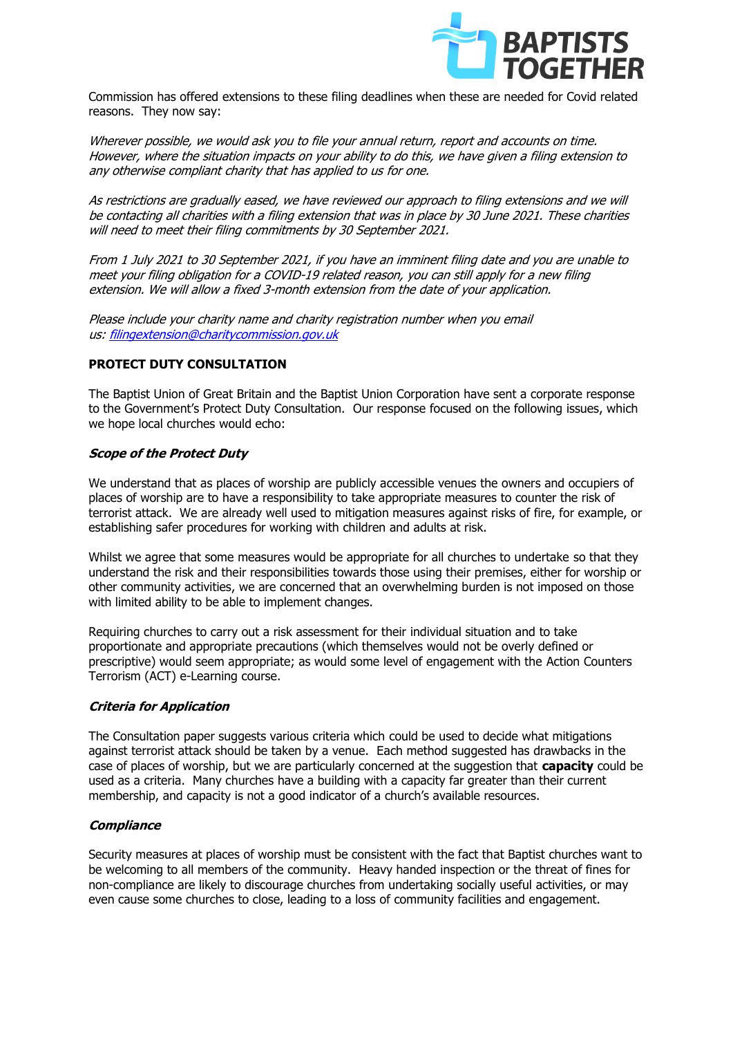

Commission has offered extensions to these filing deadlines when these are needed for Covid related reasons. They now say:

Wherever possible, we would ask you to file your annual return, report and accounts on time. However, where the situation impacts on your ability to do this, we have given a filing extension to any otherwise compliant charity that has applied to us for one.

As restrictions are gradually eased, we have reviewed our approach to filing extensions and we will be contacting all charities with a filing extension that was in place by 30 June 2021. These charities will need to meet their filing commitments by 30 September 2021.

From 1 July 2021 to 30 September 2021, if you have an imminent filing date and you are unable to meet your filing obligation for a COVID-19 related reason, you can still apply for a new filing extension. We will allow a fixed 3-month extension from the date of your application.

Please include your charity name and charity registration number when you email us: [filingextension@charitycommission.gov.uk](mailto:filingextension@charitycommission.gov.uk)

## **PROTECT DUTY CONSULTATION**

The Baptist Union of Great Britain and the Baptist Union Corporation have sent a corporate response to the Government's Protect Duty Consultation. Our response focused on the following issues, which we hope local churches would echo:

#### **Scope of the Protect Duty**

We understand that as places of worship are publicly accessible venues the owners and occupiers of places of worship are to have a responsibility to take appropriate measures to counter the risk of terrorist attack. We are already well used to mitigation measures against risks of fire, for example, or establishing safer procedures for working with children and adults at risk.

Whilst we agree that some measures would be appropriate for all churches to undertake so that they understand the risk and their responsibilities towards those using their premises, either for worship or other community activities, we are concerned that an overwhelming burden is not imposed on those with limited ability to be able to implement changes.

Requiring churches to carry out a risk assessment for their individual situation and to take proportionate and appropriate precautions (which themselves would not be overly defined or prescriptive) would seem appropriate; as would some level of engagement with the Action Counters Terrorism (ACT) e-Learning course.

#### **Criteria for Application**

The Consultation paper suggests various criteria which could be used to decide what mitigations against terrorist attack should be taken by a venue. Each method suggested has drawbacks in the case of places of worship, but we are particularly concerned at the suggestion that **capacity** could be used as a criteria. Many churches have a building with a capacity far greater than their current membership, and capacity is not a good indicator of a church's available resources.

#### **Compliance**

Security measures at places of worship must be consistent with the fact that Baptist churches want to be welcoming to all members of the community. Heavy handed inspection or the threat of fines for non-compliance are likely to discourage churches from undertaking socially useful activities, or may even cause some churches to close, leading to a loss of community facilities and engagement.